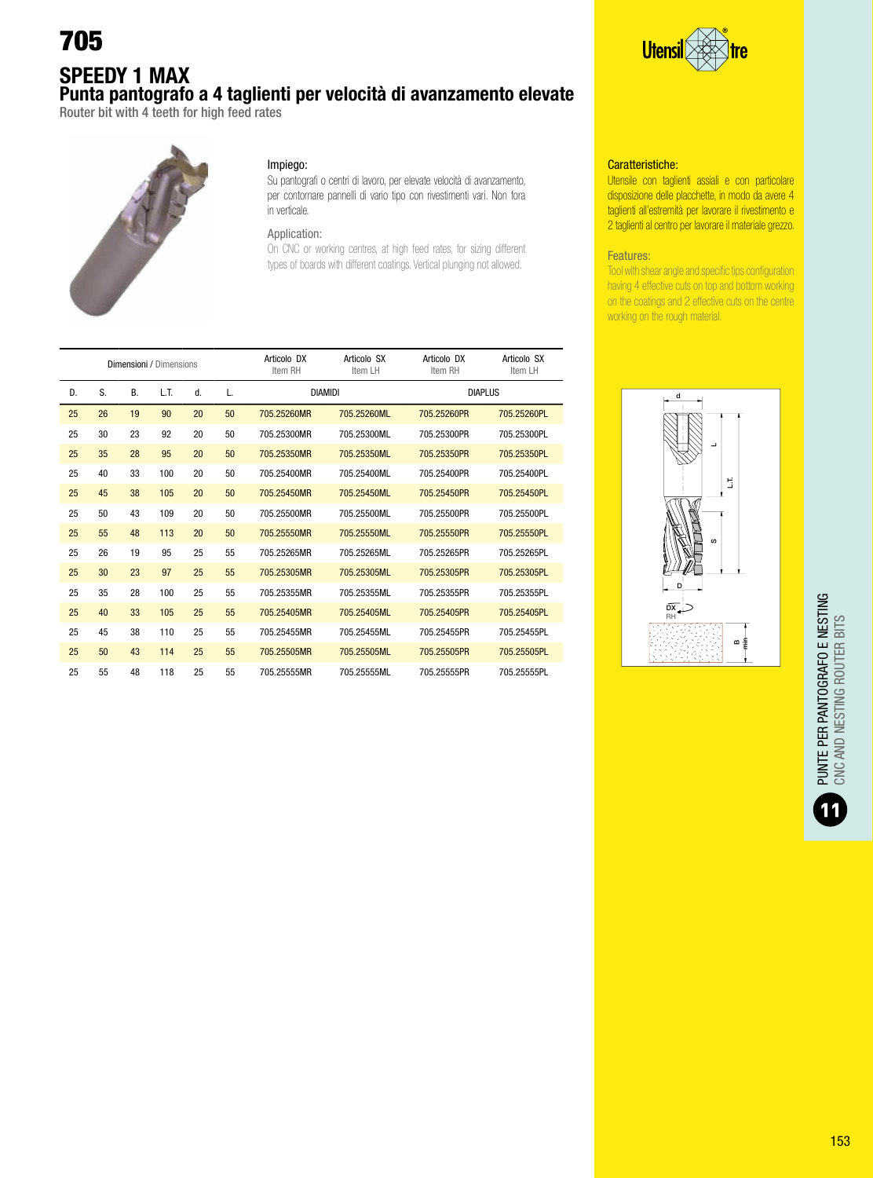# 705

### SPEEDY 1 MAX Punta pantografo a 4 taglienti per velocità di avanzamento elevate

Router bit with 4 teeth for high feed rates



#### Impiego:

Su pantografi o centri di lavoro, per elevate velocità di avanzamento, per contornare pannelli di vario tipo con rivestimenti vari. Non fora in verticale.

### Application:

On CNC or working centres, at high feed rates, for sizing different types of boards with different coatings. Vertical plunging not allowed.

|    |    |           | Dimensioni / Dimensions |    |    | Articolo DX<br>Item RH | Articolo SX<br>Item LH | Articolo DX<br>Item RH | Articolo SX<br>Item LH |
|----|----|-----------|-------------------------|----|----|------------------------|------------------------|------------------------|------------------------|
| D. | S. | <b>B.</b> | LT.                     | d. | L. |                        | <b>DIAMIDI</b>         | <b>DIAPLUS</b>         |                        |
| 25 | 26 | 19        | 90                      | 20 | 50 | 705.25260MR            | 705.25260ML            | 705.25260PR            | 705.25260PL            |
| 25 | 30 | 23        | 92                      | 20 | 50 | 705.25300MR            | 705.25300ML            | 705.25300PR            | 705.25300PL            |
| 25 | 35 | 28        | 95                      | 20 | 50 | 705.25350MR            | 705.25350ML            | 705.25350PR            | 705.25350PL            |
| 25 | 40 | 33        | 100                     | 20 | 50 | 705.25400MR            | 705.25400ML            | 705.25400PR            | 705.25400PL            |
| 25 | 45 | 38        | 105                     | 20 | 50 | 705.25450MR            | 705.25450ML            | 705.25450PR            | 705.25450PL            |
| 25 | 50 | 43        | 109                     | 20 | 50 | 705.25500MR            | 705.25500ML            | 705.25500PR            | 705.25500PL            |
| 25 | 55 | 48        | 113                     | 20 | 50 | 705.25550MR            | 705.25550ML            | 705.25550PR            | 705.25550PL            |
| 25 | 26 | 19        | 95                      | 25 | 55 | 705.25265MR            | 705.25265ML            | 705.25265PR            | 705.25265PL            |
| 25 | 30 | 23        | 97                      | 25 | 55 | 705.25305MR            | 705.25305ML            | 705.25305PR            | 705.25305PL            |
| 25 | 35 | 28        | 100                     | 25 | 55 | 705.25355MR            | 705.25355ML            | 705.25355PR            | 705.25355PL            |
| 25 | 40 | 33        | 105                     | 25 | 55 | 705.25405MR            | 705.25405ML            | 705.25405PR            | 705.25405PL            |
| 25 | 45 | 38        | 110                     | 25 | 55 | 705.25455MR            | 705.25455ML            | 705.25455PR            | 705.25455PL            |
| 25 | 50 | 43        | 114                     | 25 | 55 | 705.25505MR            | 705.25505ML            | 705.25505PR            | 705.25505PL            |
| 25 | 55 | 48        | 118                     | 25 | 55 | 705.25555MR            | 705.25555ML            | 705.25555PR            | 705.25555PL            |



#### Caratteristiche:

Utensile con taglienti assiali e con particolare disposizione delle placchette, in modo da avere 4 taglienti all'estremità per lavorare il rivestimento e 2 taglienti al centro per lavorare il materiale grezzo.

#### Features:

Tool with shear angle and specific tips configuration having 4 effective cuts on top and bottom working on the coatings and 2 effective cuts on the centre working on the rough material.

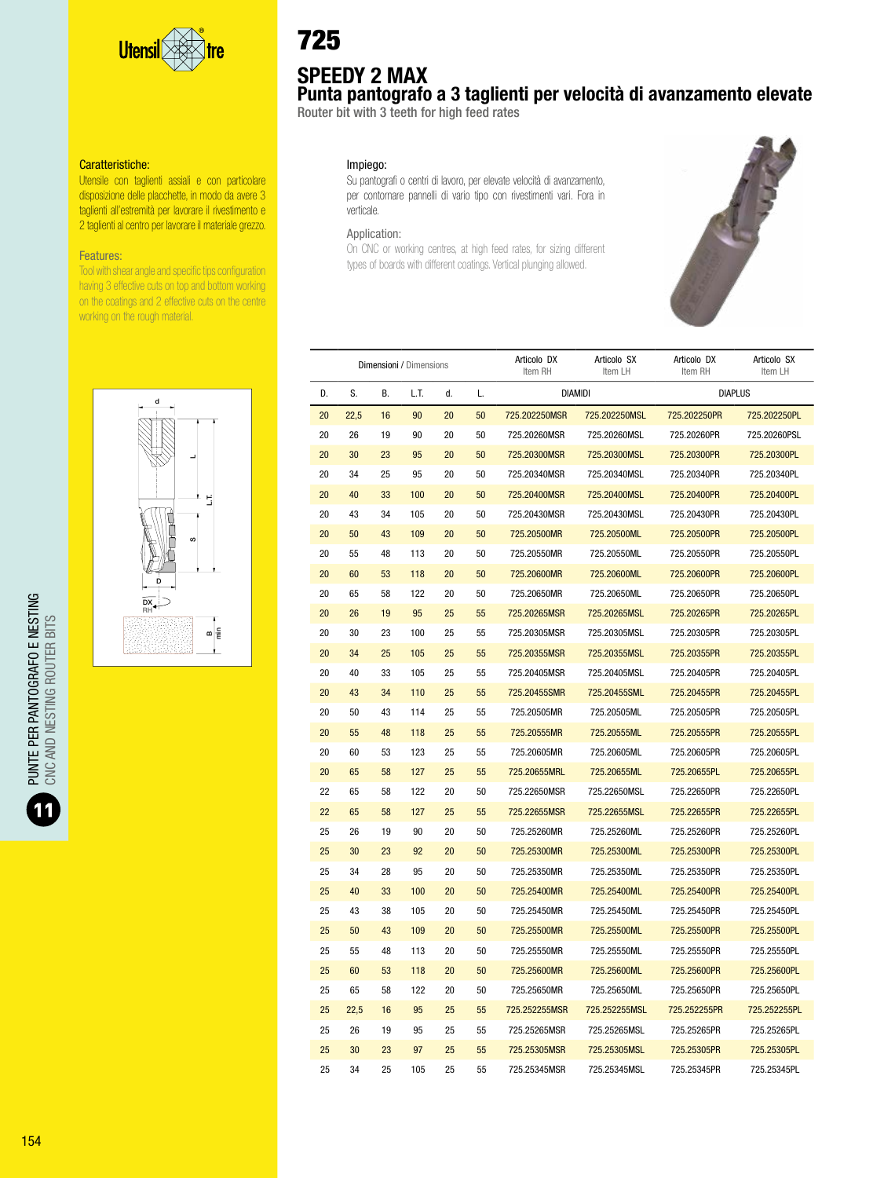

Utensile con taglienti assiali e con particolare disposizione delle placchette, in modo da avere 3 taglienti all'estremità per lavorare il rivestimento e 2 taglienti al centro per lavorare il materiale grezzo.

#### Features:

Tool with shear angle and specific tips configuration having 3 effective cuts on top and bottom working on the coatings and 2 effective cuts on the centre working on the rough material.



# 725

# SPEEDY 2 MAX

Punta pantografo a 3 taglienti per velocità di avanzamento elevate

Router bit with 3 teeth for high feed rates

#### Impiego:

Su pantografi o centri di lavoro, per elevate velocità di avanzamento, per contornare pannelli di vario tipo con rivestimenti vari. Fora in verticale.

#### Application:

On CNC or working centres, at high feed rates, for sizing different types of boards with different coatings. Vertical plunging allowed.



|    |      |    | Dimensioni / Dimensions |    |    | Articolo DX<br>Item RH | Articolo SX<br>Item LH | Articolo DX<br>Item RH | Articolo SX<br>Item LH |
|----|------|----|-------------------------|----|----|------------------------|------------------------|------------------------|------------------------|
| D. | S.   | В. | L.T.                    | d. | L. |                        | <b>DIAMIDI</b>         | <b>DIAPLUS</b>         |                        |
| 20 | 22,5 | 16 | 90                      | 20 | 50 | 725.202250MSR          | 725.202250MSL          | 725.202250PR           | 725.202250PL           |
| 20 | 26   | 19 | 90                      | 20 | 50 | 725.20260MSR           | 725.20260MSL           | 725.20260PR            | 725.20260PSL           |
| 20 | 30   | 23 | 95                      | 20 | 50 | 725.20300MSR           | 725.20300MSL           | 725.20300PR            | 725.20300PL            |
| 20 | 34   | 25 | 95                      | 20 | 50 | 725.20340MSR           | 725.20340MSL           | 725.20340PR            | 725.20340PL            |
| 20 | 40   | 33 | 100                     | 20 | 50 | 725.20400MSR           | 725.20400MSL           | 725.20400PR            | 725.20400PL            |
| 20 | 43   | 34 | 105                     | 20 | 50 | 725.20430MSR           | 725.20430MSL           | 725.20430PR            | 725.20430PL            |
| 20 | 50   | 43 | 109                     | 20 | 50 | 725.20500MR            | 725.20500ML            | 725.20500PR            | 725.20500PL            |
| 20 | 55   | 48 | 113                     | 20 | 50 | 725.20550MR            | 725.20550ML            | 725.20550PR            | 725.20550PL            |
| 20 | 60   | 53 | 118                     | 20 | 50 | 725.20600MR            | 725.20600ML            | 725.20600PR            | 725.20600PL            |
| 20 | 65   | 58 | 122                     | 20 | 50 | 725.20650MR            | 725.20650ML            | 725.20650PR            | 725.20650PL            |
| 20 | 26   | 19 | 95                      | 25 | 55 | 725.20265MSR           | 725.20265MSL           | 725.20265PR            | 725.20265PL            |
| 20 | 30   | 23 | 100                     | 25 | 55 | 725.20305MSR           | 725.20305MSL           | 725.20305PR            | 725.20305PL            |
| 20 | 34   | 25 | 105                     | 25 | 55 | 725.20355MSR           | 725.20355MSL           | 725.20355PR            | 725.20355PL            |
| 20 | 40   | 33 | 105                     | 25 | 55 | 725.20405MSR           | 725.20405MSL           | 725.20405PR            | 725.20405PL            |
| 20 | 43   | 34 | 110                     | 25 | 55 | 725.20455SMR           | 725.20455SML           | 725.20455PR            | 725.20455PL            |
| 20 | 50   | 43 | 114                     | 25 | 55 | 725.20505MR            | 725.20505ML            | 725.20505PR            | 725.20505PL            |
| 20 | 55   | 48 | 118                     | 25 | 55 | 725.20555MR            | 725.20555ML            | 725.20555PR            | 725.20555PL            |
| 20 | 60   | 53 | 123                     | 25 | 55 | 725.20605MR            | 725.20605ML            | 725.20605PR            | 725.20605PL            |
| 20 | 65   | 58 | 127                     | 25 | 55 | 725.20655MRL           | 725.20655ML            | 725.20655PL            | 725.20655PL            |
| 22 | 65   | 58 | 122                     | 20 | 50 | 725.22650MSR           | 725.22650MSL           | 725.22650PR            | 725.22650PL            |
| 22 | 65   | 58 | 127                     | 25 | 55 | 725.22655MSR           | 725.22655MSL           | 725.22655PR            | 725.22655PL            |
| 25 | 26   | 19 | 90                      | 20 | 50 | 725.25260MR            | 725.25260ML            | 725.25260PR            | 725.25260PL            |
| 25 | 30   | 23 | 92                      | 20 | 50 | 725.25300MR            | 725.25300ML            | 725.25300PR            | 725.25300PL            |
| 25 | 34   | 28 | 95                      | 20 | 50 | 725.25350MR            | 725.25350ML            | 725.25350PR            | 725.25350PL            |
| 25 | 40   | 33 | 100                     | 20 | 50 | 725.25400MR            | 725.25400ML            | 725.25400PR            | 725.25400PL            |
| 25 | 43   | 38 | 105                     | 20 | 50 | 725.25450MR            | 725.25450ML            | 725.25450PR            | 725.25450PL            |
| 25 | 50   | 43 | 109                     | 20 | 50 | 725.25500MR            | 725.25500ML            | 725.25500PR            | 725.25500PL            |
| 25 | 55   | 48 | 113                     | 20 | 50 | 725.25550MR            | 725.25550ML            | 725.25550PR            | 725.25550PL            |
| 25 | 60   | 53 | 118                     | 20 | 50 | 725.25600MR            | 725.25600ML            | 725.25600PR            | 725.25600PL            |
| 25 | 65   | 58 | 122                     | 20 | 50 | 725.25650MR            | 725.25650ML            | 725.25650PR            | 725.25650PL            |
| 25 | 22,5 | 16 | 95                      | 25 | 55 | 725.252255MSR          | 725.252255MSL          | 725.252255PR           | 725.252255PL           |
| 25 | 26   | 19 | 95                      | 25 | 55 | 725.25265MSR           | 725.25265MSL           | 725.25265PR            | 725.25265PL            |
| 25 | 30   | 23 | 97                      | 25 | 55 | 725.25305MSR           | 725.25305MSL           | 725.25305PR            | 725.25305PL            |
| 25 | 34   | 25 | 105                     | 25 | 55 | 725 25345MSR           | 725 25345MSL           | 725 25345PR            | 725 25345PL            |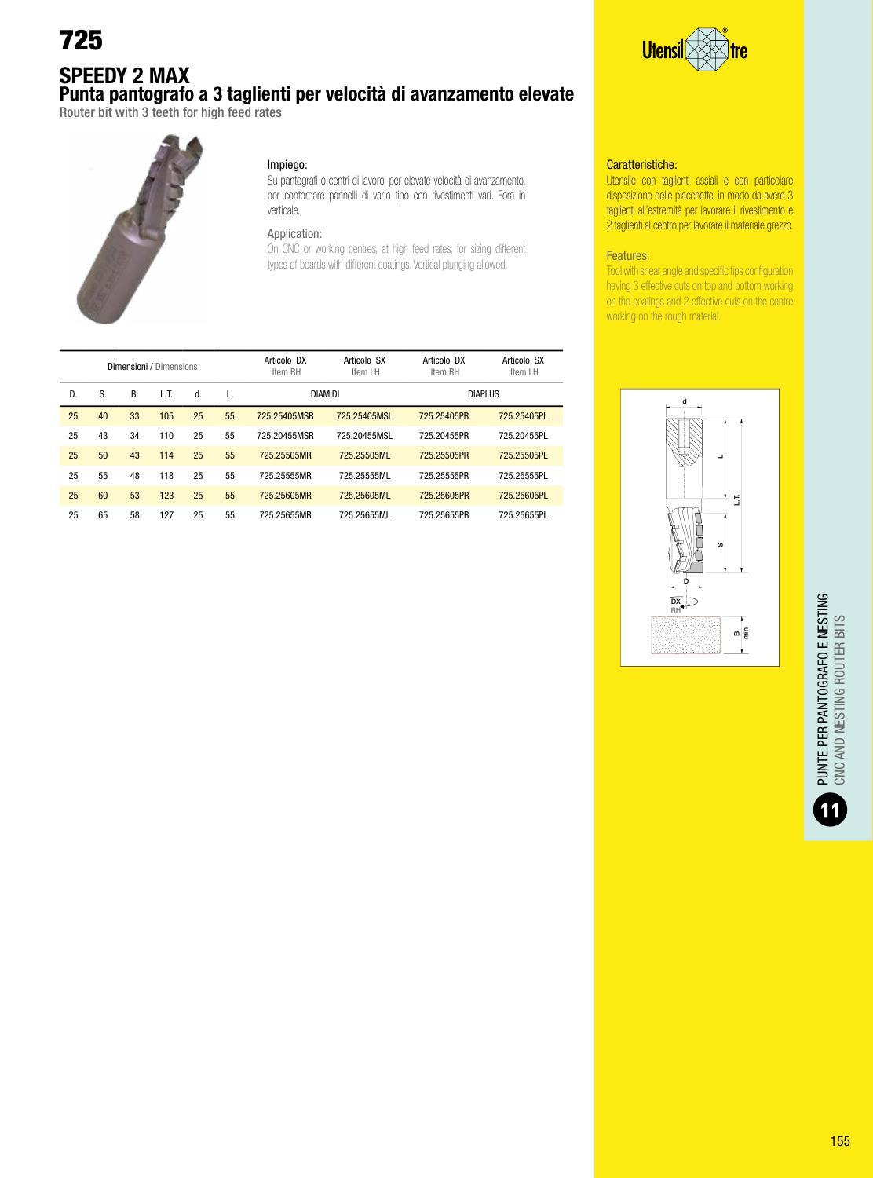### SPEEDY 2 MAX Punta pantografo a 3 taglienti per velocità di avanzamento elevate

Router bit with 3 teeth for high feed rates



#### Impiego:

Su pantografi o centri di lavoro, per elevate velocità di avanzamento, per contornare pannelli di vario tipo con rivestimenti vari. Fora in verticale.

### Application:

On CNC or working centres, at high feed rates, for sizing different types of boards with different coatings. Vertical plunging allowed.



#### Caratteristiche:

Utensile con taglienti assiali e con particolare disposizione delle placchette, in modo da avere 3 taglienti all'estremità per lavorare il rivestimento e 2 taglienti al centro per lavorare il materiale grezzo.

#### Features:

Tool with shear angle and specific tips configuration having 3 effective cuts on top and bottom working on the coatings and 2 effective cuts on the centre working on the rough material.

|    |    |    | Dimensioni / Dimensions |    |    | Articolo DX<br>Item RH | Articolo SX<br>Item LH | Articolo DX<br>Item RH | Articolo SX<br>Item LH |
|----|----|----|-------------------------|----|----|------------------------|------------------------|------------------------|------------------------|
| D. | S. | В. | L.T.                    | d. | L. | <b>DIAMIDI</b>         |                        | <b>DIAPLUS</b>         |                        |
| 25 | 40 | 33 | 105                     | 25 | 55 | 725.25405MSR           | 725.25405MSL           | 725.25405PR            | 725.25405PL            |
| 25 | 43 | 34 | 110                     | 25 | 55 | 725.20455MSR           | 725.20455MSL           | 725.20455PR            | 725.20455PL            |
| 25 | 50 | 43 | 114                     | 25 | 55 | 725.25505MR            | 725.25505ML            | 725.25505PR            | 725.25505PL            |
| 25 | 55 | 48 | 118                     | 25 | 55 | 725.25555MR            | 725.25555ML            | 725.25555PR            | 725.25555PL            |
| 25 | 60 | 53 | 123                     | 25 | 55 | 725.25605MR            | 725.25605ML            | 725.25605PR            | 725.25605PL            |
| 25 | 65 | 58 | 127                     | 25 | 55 | 725.25655MR            | 725.25655ML            | 725.25655PR            | 725.25655PL            |

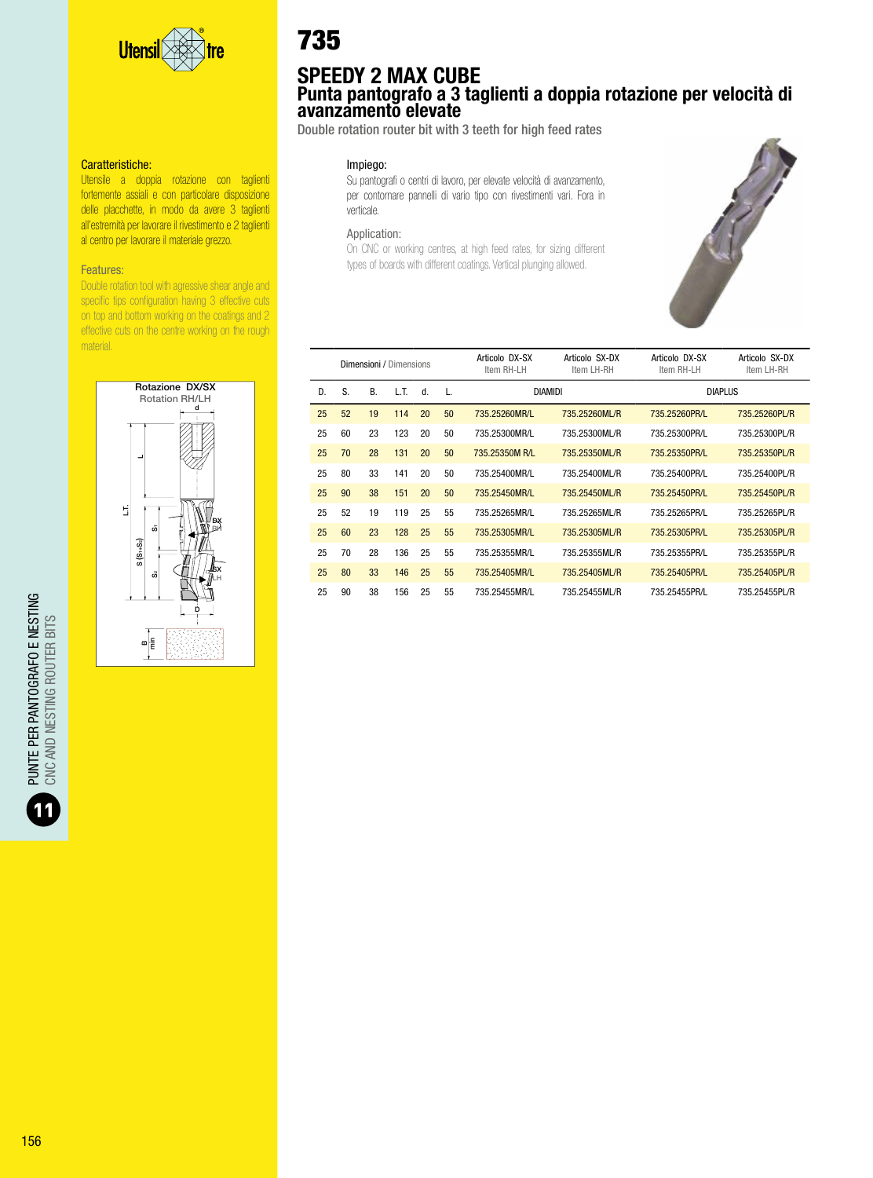

Utensile a doppia rotazione con taglienti fortemente assiali e con particolare disposizione delle placchette, in modo da avere 3 taglienti all'estremità per lavorare il rivestimento e 2 taglienti al centro per lavorare il materiale grezzo.

#### Features:

Double rotation tool with agressive shear angle and specific tips configuration having 3 effective cuts on top and bottom working on the coatings and 2 effective cuts on the centre working on the rough material.



# 735

### SPEEDY 2 MAX CUBE Punta pantografo a 3 taglienti a doppia rotazione per velocità di avanzamento elevate

Double rotation router bit with 3 teeth for high feed rates

#### Impiego:

Su pantografi o centri di lavoro, per elevate velocità di avanzamento, per contornare pannelli di vario tipo con rivestimenti vari. Fora in verticale.

#### Application:

On CNC or working centres, at high feed rates, for sizing different types of boards with different coatings. Vertical plunging allowed.



|    |    |    | Dimensioni / Dimensions |    |    | Articolo DX-SX<br>Item RH-LH | Articolo SX-DX<br>Item LH-RH | Articolo DX-SX<br>Item RH-LH | Articolo SX-DX<br>Item LH-RH |
|----|----|----|-------------------------|----|----|------------------------------|------------------------------|------------------------------|------------------------------|
| D. | S. | R  | LT.                     | d. | L. | <b>DIAMIDI</b>               |                              | <b>DIAPLUS</b>               |                              |
| 25 | 52 | 19 | 114                     | 20 | 50 | 735.25260MR/L                | 735.25260ML/R                | 735.25260PR/L                | 735.25260PL/R                |
| 25 | 60 | 23 | 123                     | 20 | 50 | 735.25300MR/L                | 735.25300ML/R                | 735.25300PR/L                | 735.25300PL/R                |
| 25 | 70 | 28 | 131                     | 20 | 50 | 735.25350M R/L               | 735.25350ML/R                | 735.25350PR/L                | 735.25350PL/R                |
| 25 | 80 | 33 | 141                     | 20 | 50 | 735.25400MR/L                | 735.25400ML/R                | 735.25400PR/L                | 735.25400PL/R                |
| 25 | 90 | 38 | 151                     | 20 | 50 | 735.25450MR/L                | 735.25450ML/R                | 735.25450PR/L                | 735.25450PL/R                |
| 25 | 52 | 19 | 119                     | 25 | 55 | 735.25265MR/L                | 735.25265ML/R                | 735.25265PR/L                | 735.25265PL/R                |
| 25 | 60 | 23 | 128                     | 25 | 55 | 735.25305MR/L                | 735.25305ML/R                | 735.25305PR/L                | 735.25305PL/R                |
| 25 | 70 | 28 | 136                     | 25 | 55 | 735.25355MR/L                | 735.25355ML/R                | 735.25355PR/L                | 735.25355PL/R                |
| 25 | 80 | 33 | 146                     | 25 | 55 | 735.25405MR/L                | 735.25405ML/R                | 735.25405PR/L                | 735.25405PL/R                |
| 25 | 90 | 38 | 156                     | 25 | 55 | 735.25455MR/L                | 735.25455ML/R                | 735.25455PR/L                | 735.25455PL/R                |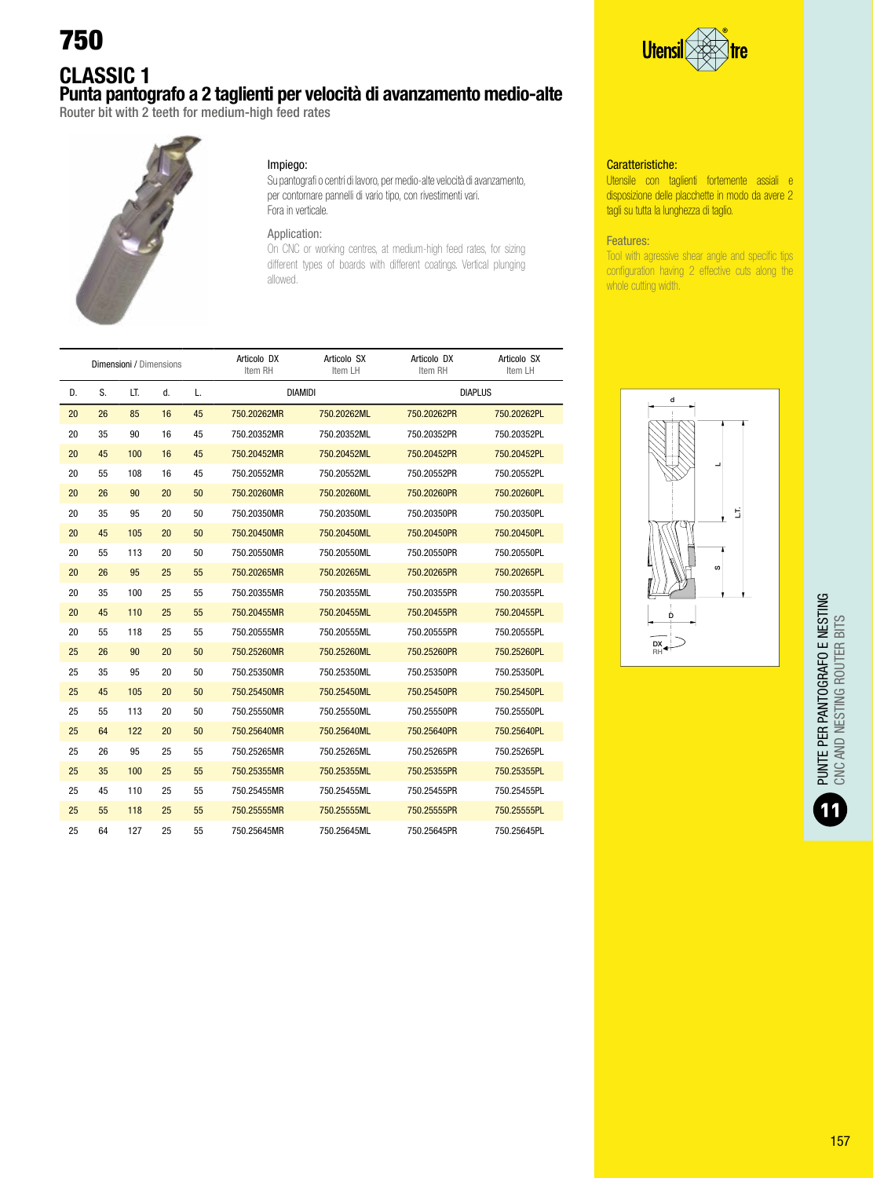### CLASSIC 1 Punta pantografo a 2 taglienti per velocità di avanzamento medio-alte

Router bit with 2 teeth for medium-high feed rates



#### Impiego:

Su pantografi o centri di lavoro, per medio-alte velocità di avanzamento, per contornare pannelli di vario tipo, con rivestimenti vari. Fora in verticale.

#### Application:

On CNC or working centres, at medium-high feed rates, for sizing different types of boards with different coatings. Vertical plunging allowed.

|    |    | <b>Dimensioni / Dimensions</b> |    |    | Articolo DX<br>Item RH | Articolo SX<br>Item LH | Articolo DX<br>Item RH | Articolo SX<br>Item LH |
|----|----|--------------------------------|----|----|------------------------|------------------------|------------------------|------------------------|
| D. | S. | LT.                            | d. | L. | <b>DIAMIDI</b>         |                        | <b>DIAPLUS</b>         |                        |
| 20 | 26 | 85                             | 16 | 45 | 750.20262MR            | 750.20262ML            | 750.20262PR            | 750.20262PL            |
| 20 | 35 | 90                             | 16 | 45 | 750.20352MR            | 750.20352ML            | 750.20352PR            | 750.20352PL            |
| 20 | 45 | 100                            | 16 | 45 | 750.20452MR            | 750.20452ML            | 750.20452PR            | 750.20452PL            |
| 20 | 55 | 108                            | 16 | 45 | 750.20552MR            | 750.20552ML            | 750.20552PR            | 750.20552PL            |
| 20 | 26 | 90                             | 20 | 50 | 750.20260MR            | 750.20260ML            | 750.20260PR            | 750.20260PL            |
| 20 | 35 | 95                             | 20 | 50 | 750.20350MR            | 750.20350ML            | 750.20350PR            | 750.20350PL            |
| 20 | 45 | 105                            | 20 | 50 | 750.20450MR            | 750.20450ML            | 750.20450PR            | 750.20450PL            |
| 20 | 55 | 113                            | 20 | 50 | 750.20550MR            | 750.20550ML            | 750.20550PR            | 750.20550PL            |
| 20 | 26 | 95                             | 25 | 55 | 750.20265MR            | 750.20265ML            | 750.20265PR            | 750.20265PL            |
| 20 | 35 | 100                            | 25 | 55 | 750.20355MR            | 750.20355ML            | 750.20355PR            | 750.20355PL            |
| 20 | 45 | 110                            | 25 | 55 | 750.20455MR            | 750.20455ML            | 750.20455PR            | 750.20455PL            |
| 20 | 55 | 118                            | 25 | 55 | 750.20555MR            | 750.20555ML            | 750.20555PR            | 750.20555PL            |
| 25 | 26 | 90                             | 20 | 50 | 750.25260MR            | 750.25260ML            | 750.25260PR            | 750.25260PL            |
| 25 | 35 | 95                             | 20 | 50 | 750.25350MR            | 750.25350ML            | 750.25350PR            | 750.25350PL            |
| 25 | 45 | 105                            | 20 | 50 | 750.25450MR            | 750.25450ML            | 750.25450PR            | 750.25450PL            |
| 25 | 55 | 113                            | 20 | 50 | 750.25550MR            | 750.25550ML            | 750.25550PR            | 750.25550PL            |
| 25 | 64 | 122                            | 20 | 50 | 750.25640MR            | 750.25640ML            | 750.25640PR            | 750.25640PL            |
| 25 | 26 | 95                             | 25 | 55 | 750.25265MR            | 750.25265ML            | 750.25265PR            | 750.25265PL            |
| 25 | 35 | 100                            | 25 | 55 | 750.25355MR            | 750.25355ML            | 750.25355PR            | 750.25355PL            |
| 25 | 45 | 110                            | 25 | 55 | 750.25455MR            | 750.25455ML            | 750.25455PR            | 750.25455PL            |
| 25 | 55 | 118                            | 25 | 55 | 750.25555MR            | 750.25555ML            | 750.25555PR            | 750.25555PL            |
| 25 | 64 | 127                            | 25 | 55 | 750.25645MR            | 750.25645ML            | 750.25645PR            | 750.25645PL            |



#### Caratteristiche:

Utensile con taglienti fortemente assiali e disposizione delle placchette in modo da avere 2 tagli su tutta la lunghezza di taglio.

#### Features:

Tool with agressive shear angle and specific tips configuration having 2 effective cuts along the whole cutting width.

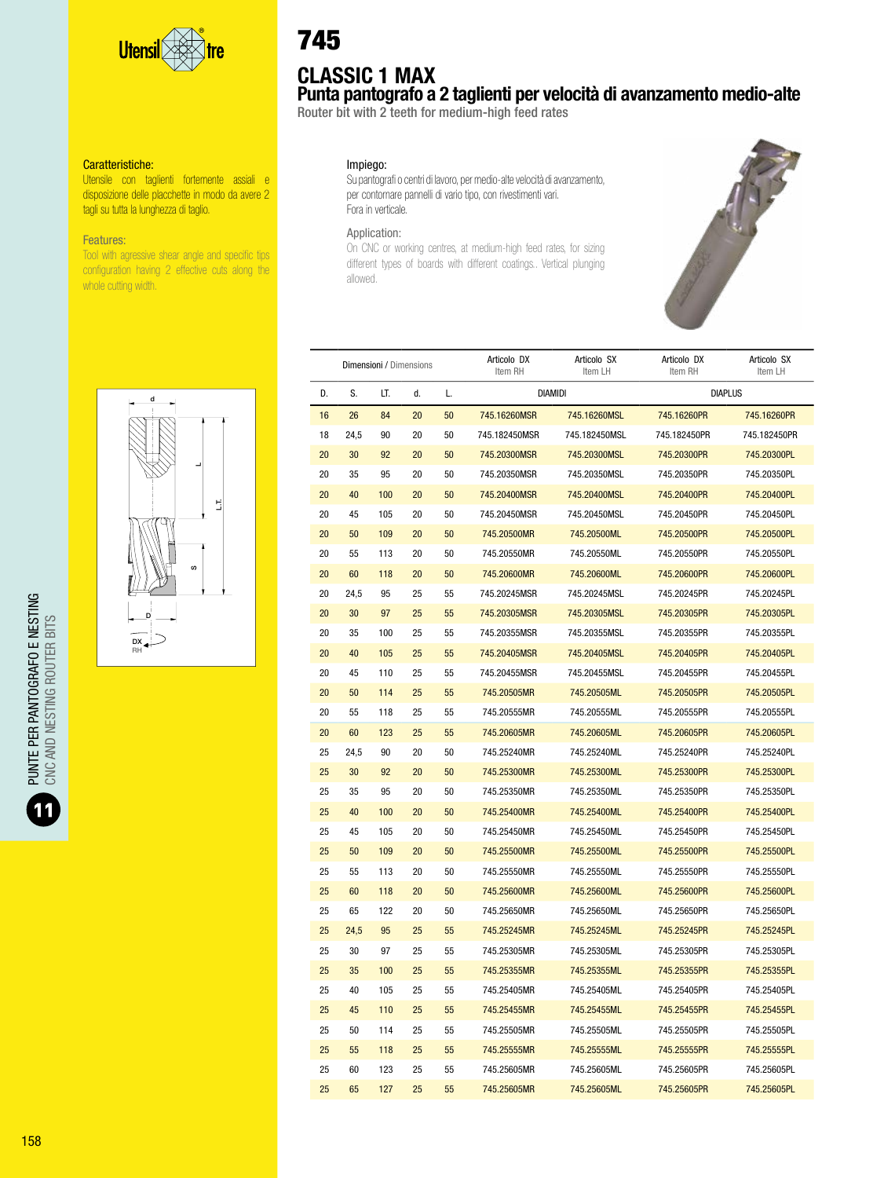

Utensile con taglienti fortemente assiali e disposizione delle placchette in modo da avere 2 tagli su tutta la lunghezza di taglio.

#### Features:

Tool with agressive shear angle and specific tips configuration having 2 effective cuts along the whole cutting width.



## CLASSIC 1 MAX

Punta pantografo a 2 taglienti per velocità di avanzamento medio-alte

Router bit with 2 teeth for medium-high feed rates

#### Impiego:

Su pantografi o centri di lavoro, per medio-alte velocità di avanzamento, per contornare pannelli di vario tipo, con rivestimenti vari. Fora in verticale.

#### Application:

On CNC or working centres, at medium-high feed rates, for sizing different types of boards with different coatings.. Vertical plunging allowed.



|    |      | <b>Dimensioni</b> / Dimensions |    |    | Articolo DX<br>Item RH | Articolo SX<br>Item LH | Articolo DX<br>Item RH | Articolo SX<br>Item LH |
|----|------|--------------------------------|----|----|------------------------|------------------------|------------------------|------------------------|
| D. | S.   | LT.                            | d. | L. | <b>DIAMIDI</b>         |                        | <b>DIAPLUS</b>         |                        |
| 16 | 26   | 84                             | 20 | 50 | 745.16260MSR           | 745.16260MSL           | 745.16260PR            | 745.16260PR            |
| 18 | 24,5 | 90                             | 20 | 50 | 745.182450MSR          | 745.182450MSL          | 745.182450PR           | 745.182450PR           |
| 20 | 30   | 92                             | 20 | 50 | 745.20300MSR           | 745.20300MSL           | 745.20300PR            | 745.20300PL            |
| 20 | 35   | 95                             | 20 | 50 | 745.20350MSR           | 745.20350MSL           | 745.20350PR            | 745.20350PL            |
| 20 | 40   | 100                            | 20 | 50 | 745.20400MSR           | 745.20400MSL           | 745.20400PR            | 745.20400PL            |
| 20 | 45   | 105                            | 20 | 50 | 745.20450MSR           | 745.20450MSL           | 745.20450PR            | 745.20450PL            |
| 20 | 50   | 109                            | 20 | 50 | 745.20500MR            | 745.20500ML            | 745.20500PR            | 745.20500PL            |
| 20 | 55   | 113                            | 20 | 50 | 745.20550MR            | 745.20550ML            | 745.20550PR            | 745.20550PL            |
| 20 | 60   | 118                            | 20 | 50 | 745.20600MR            | 745.20600ML            | 745.20600PR            | 745.20600PL            |
| 20 | 24,5 | 95                             | 25 | 55 | 745.20245MSR           | 745.20245MSL           | 745.20245PR            | 745.20245PL            |
| 20 | 30   | 97                             | 25 | 55 | 745.20305MSR           | 745.20305MSL           | 745.20305PR            | 745.20305PL            |
| 20 | 35   | 100                            | 25 | 55 | 745.20355MSR           | 745.20355MSL           | 745.20355PR            | 745.20355PL            |
| 20 | 40   | 105                            | 25 | 55 | 745.20405MSR           | 745.20405MSL           | 745.20405PR            | 745.20405PL            |
| 20 | 45   | 110                            | 25 | 55 | 745.20455MSR           | 745.20455MSL           | 745.20455PR            | 745.20455PL            |
| 20 | 50   | 114                            | 25 | 55 | 745.20505MR            | 745.20505ML            | 745.20505PR            | 745.20505PL            |
| 20 | 55   | 118                            | 25 | 55 | 745.20555MR            | 745.20555ML            | 745.20555PR            | 745.20555PL            |
| 20 | 60   | 123                            | 25 | 55 | 745.20605MR            | 745.20605ML            | 745.20605PR            | 745.20605PL            |
| 25 | 24,5 | 90                             | 20 | 50 | 745.25240MR            | 745.25240ML            | 745.25240PR            | 745.25240PL            |
| 25 | 30   | 92                             | 20 | 50 | 745.25300MR            | 745.25300ML            | 745.25300PR            | 745.25300PL            |
| 25 | 35   | 95                             | 20 | 50 | 745.25350MR            | 745.25350ML            | 745.25350PR            | 745.25350PL            |
| 25 | 40   | 100                            | 20 | 50 | 745.25400MR            | 745.25400ML            | 745.25400PR            | 745.25400PL            |
| 25 | 45   | 105                            | 20 | 50 | 745.25450MR            | 745.25450ML            | 745.25450PR            | 745.25450PL            |
| 25 | 50   | 109                            | 20 | 50 | 745.25500MR            | 745.25500ML            | 745.25500PR            | 745.25500PL            |
| 25 | 55   | 113                            | 20 | 50 | 745.25550MR            | 745.25550ML            | 745.25550PR            | 745.25550PL            |
| 25 | 60   | 118                            | 20 | 50 | 745.25600MR            | 745.25600ML            | 745.25600PR            | 745.25600PL            |
| 25 | 65   | 122                            | 20 | 50 | 745.25650MR            | 745.25650ML            | 745.25650PR            | 745.25650PL            |
| 25 | 24,5 | 95                             | 25 | 55 | 745.25245MR            | 745.25245ML            | 745.25245PR            | 745.25245PL            |
| 25 | 30   | 97                             | 25 | 55 | 745.25305MR            | 745.25305ML            | 745.25305PR            | 745.25305PL            |
| 25 | 35   | 100                            | 25 | 55 | 745.25355MR            | 745.25355ML            | 745.25355PR            | 745.25355PL            |
| 25 | 40   | 105                            | 25 | 55 | 745.25405MR            | 745.25405ML            | 745.25405PR            | 745.25405PL            |
| 25 | 45   | 110                            | 25 | 55 | 745.25455MR            | 745.25455ML            | 745.25455PR            | 745.25455PL            |
| 25 | 50   | 114                            | 25 | 55 | 745.25505MR            | 745.25505ML            | 745.25505PR            | 745.25505PL            |
| 25 | 55   | 118                            | 25 | 55 | 745.25555MR            | 745.25555ML            | 745.25555PR            | 745.25555PL            |
| 25 | 60   | 123                            | 25 | 55 | 745.25605MR            | 745.25605ML            | 745.25605PR            | 745.25605PL            |
| 25 | 65   | 127                            | 25 | 55 | 745.25605MR            | 745.25605ML            | 745.25605PR            | 745.25605PL            |

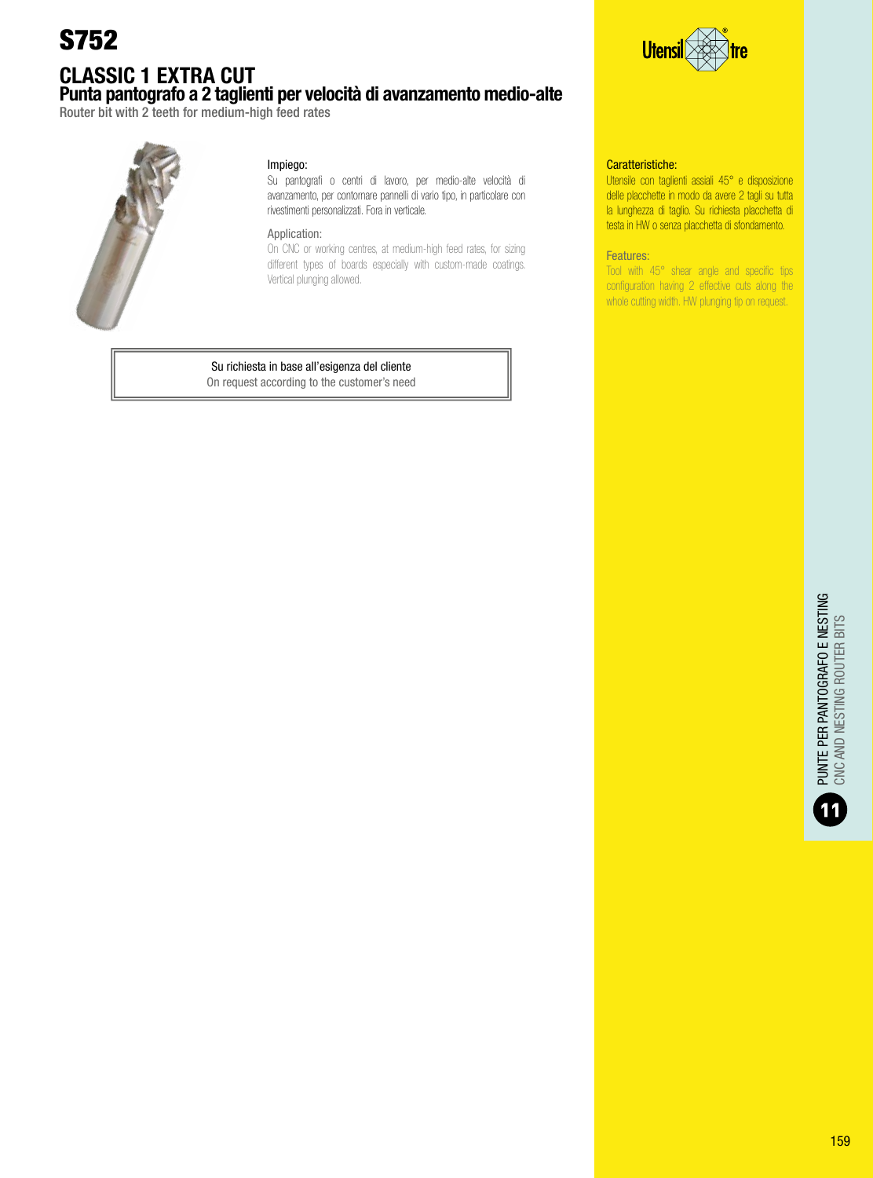### CLASSIC 1 EXTRA CUT Punta pantografo a 2 taglienti per velocità di avanzamento medio-alte

Router bit with 2 teeth for medium-high feed rates



#### Impiego:

Su pantografi o centri di lavoro, per medio-alte velocità di avanzamento, per contornare pannelli di vario tipo, in particolare con rivestimenti personalizzati. Fora in verticale.

#### Application:

On CNC or working centres, at medium-high feed rates, for sizing different types of boards especially with custom-made coatings. Vertical plunging allowed.

### Su richiesta in base all'esigenza del cliente

On request according to the customer's need



#### Caratteristiche:

Utensile con taglienti assiali 45° e disposizione delle placchette in modo da avere 2 tagli su tutta la lunghezza di taglio. Su richiesta placchetta di testa in HW o senza placchetta di sfondamento.

#### Features:

Tool with 45° shear angle and specific tips configuration having 2 effective cuts along the whole cutting width. HW plunging tip on request.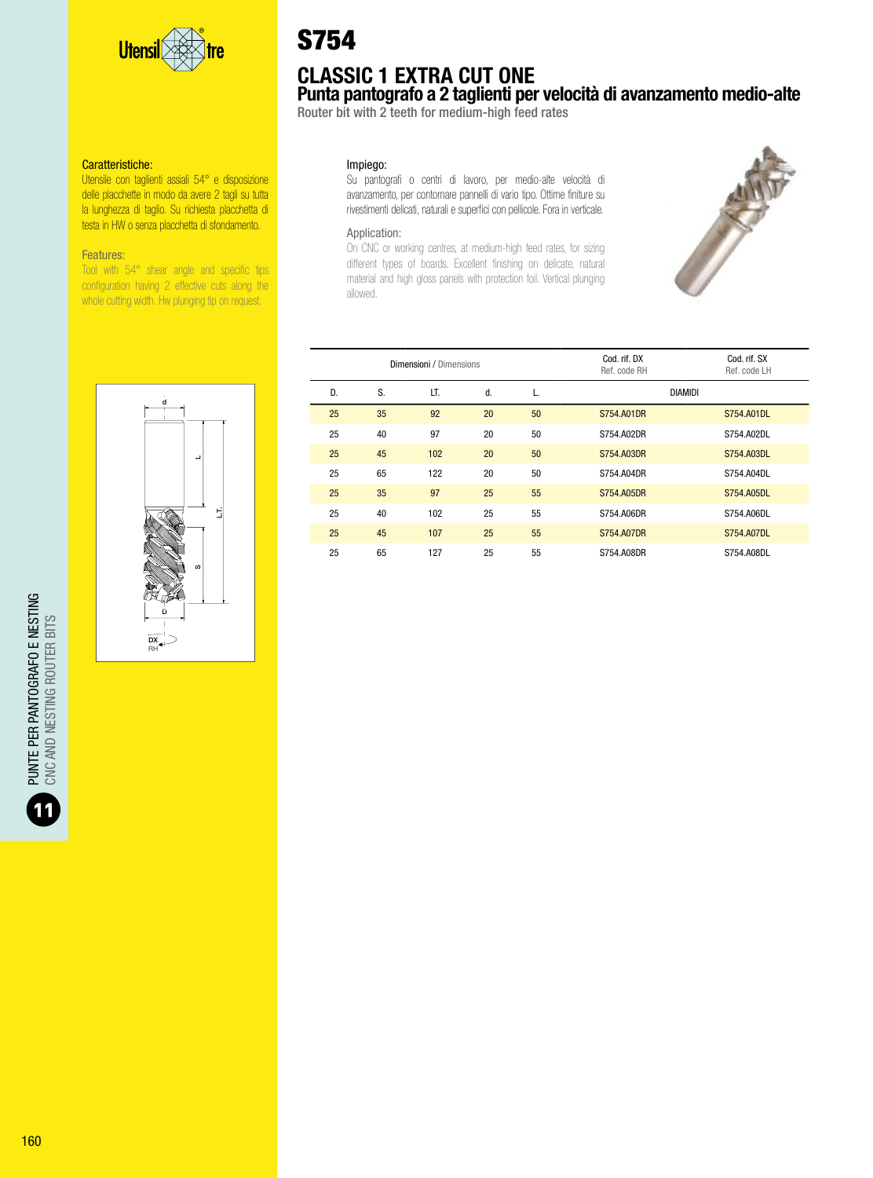

Utensile con taglienti assiali 54° e disposizione delle placchette in modo da avere 2 tagli su tutta la lunghezza di taglio. Su richiesta placchetta di testa in HW o senza placchetta di sfondamento.

#### Features:

Tool with 54° shear angle and specific tips configuration having 2 effective cuts along the whole cutting width. Hw plunging tip on request.

# S754

# CLASSIC 1 EXTRA CUT ONE

Punta pantografo a 2 taglienti per velocità di avanzamento medio-alte

Router bit with 2 teeth for medium-high feed rates

#### Impiego:

Su pantografi o centri di lavoro, per medio-alte velocità di avanzamento, per contornare pannelli di vario tipo. Ottime finiture su rivestimenti delicati, naturali e superfici con pellicole. Fora in verticale.

#### Application:

On CNC or working centres, at medium-high feed rates, for sizing different types of boards. Excellent finishing on delicate, natural material and high gloss panels with protection foil. Vertical plunging allowed.





|    |    | Dimensioni / Dimensions |    |    | Cod. rif. DX<br>Ref. code RH | Cod. rif. SX<br>Ref. code LH |
|----|----|-------------------------|----|----|------------------------------|------------------------------|
| D. | S. | LT.                     | d. |    | <b>DIAMIDI</b>               |                              |
| 25 | 35 | 92                      | 20 | 50 | S754, A01DR                  | S754, A01DL                  |
| 25 | 40 | 97                      | 20 | 50 | S754.A02DR                   | S754.A02DL                   |
| 25 | 45 | 102                     | 20 | 50 | S754, A03DR                  | S754, A03DL                  |
| 25 | 65 | 122                     | 20 | 50 | S754.A04DR                   | S754.A04DL                   |
| 25 | 35 | 97                      | 25 | 55 | S754, A05DR                  | S754.A05DL                   |
| 25 | 40 | 102                     | 25 | 55 | S754.A06DR                   | S754.A06DL                   |
| 25 | 45 | 107                     | 25 | 55 | S754, A07DR                  | S754, A07DL                  |
| 25 | 65 | 127                     | 25 | 55 | S754.A08DR                   | S754.A08DL                   |

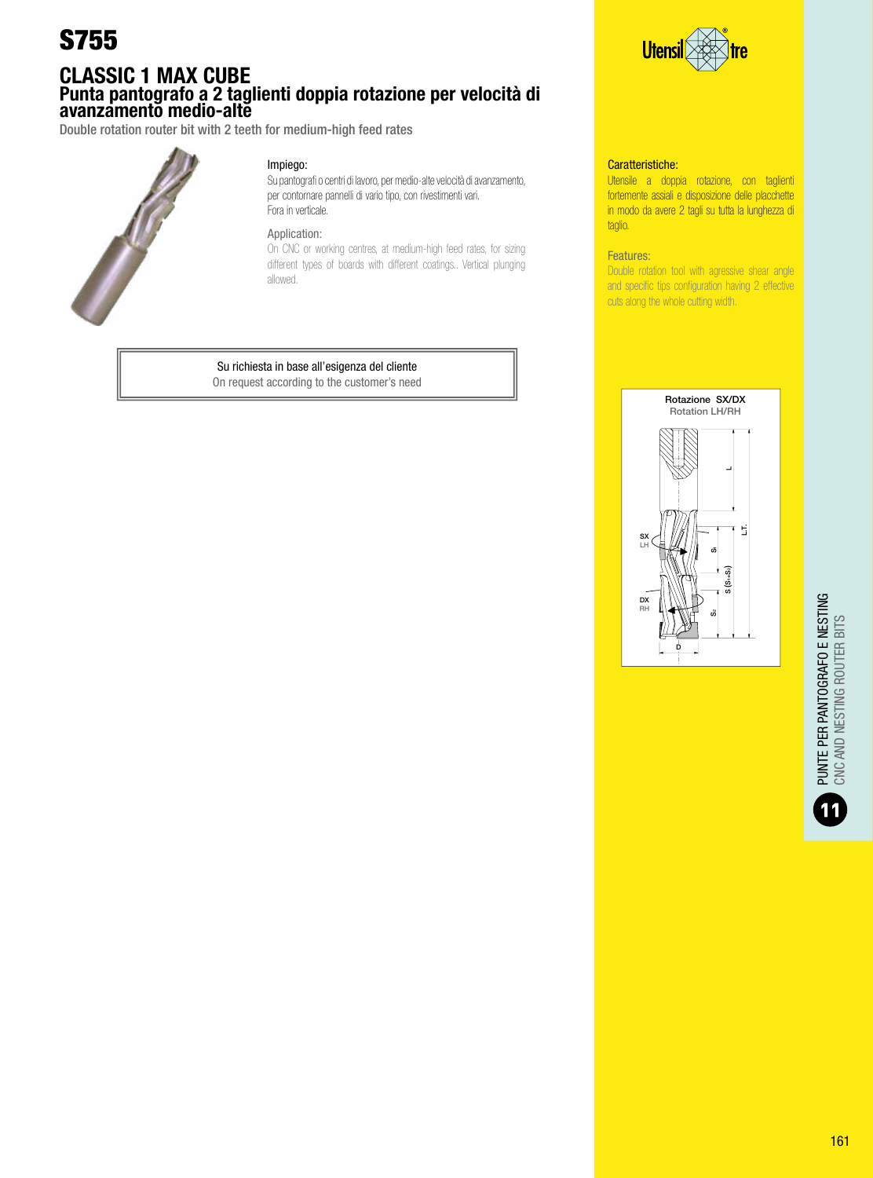### CLASSIC 1 MAX CUBE Punta pantografo a 2 taglienti doppia rotazione per velocità di avanzamento medio-alte

Double rotation router bit with 2 teeth for medium-high feed rates



#### Impiego:

Su pantografi o centri di lavoro, per medio-alte velocità di avanzamento, per contornare pannelli di vario tipo, con rivestimenti vari. Fora in verticale.

#### Application:

On CNC or working centres, at medium-high feed rates, for sizing different types of boards with different coatings.. Vertical plunging allowed.

### Su richiesta in base all'esigenza del cliente

On request according to the customer's need



#### Caratteristiche:

Utensile a doppia rotazione, con taglienti fortemente assiali e disposizione delle placchette in modo da avere 2 tagli su tutta la lunghezza di taglio.

#### Features:

Double rotation tool with agressive shear angle and specific tips configuration having 2 effective cuts along the whole cutting width.



PUNTE PER PANTOGRAFO E NESTING<br>CNC AND NESTING ROUTER BITS PUNTE PER PANTOGRAFO E NESTING CNC AND NESTING ROUTER BITS 11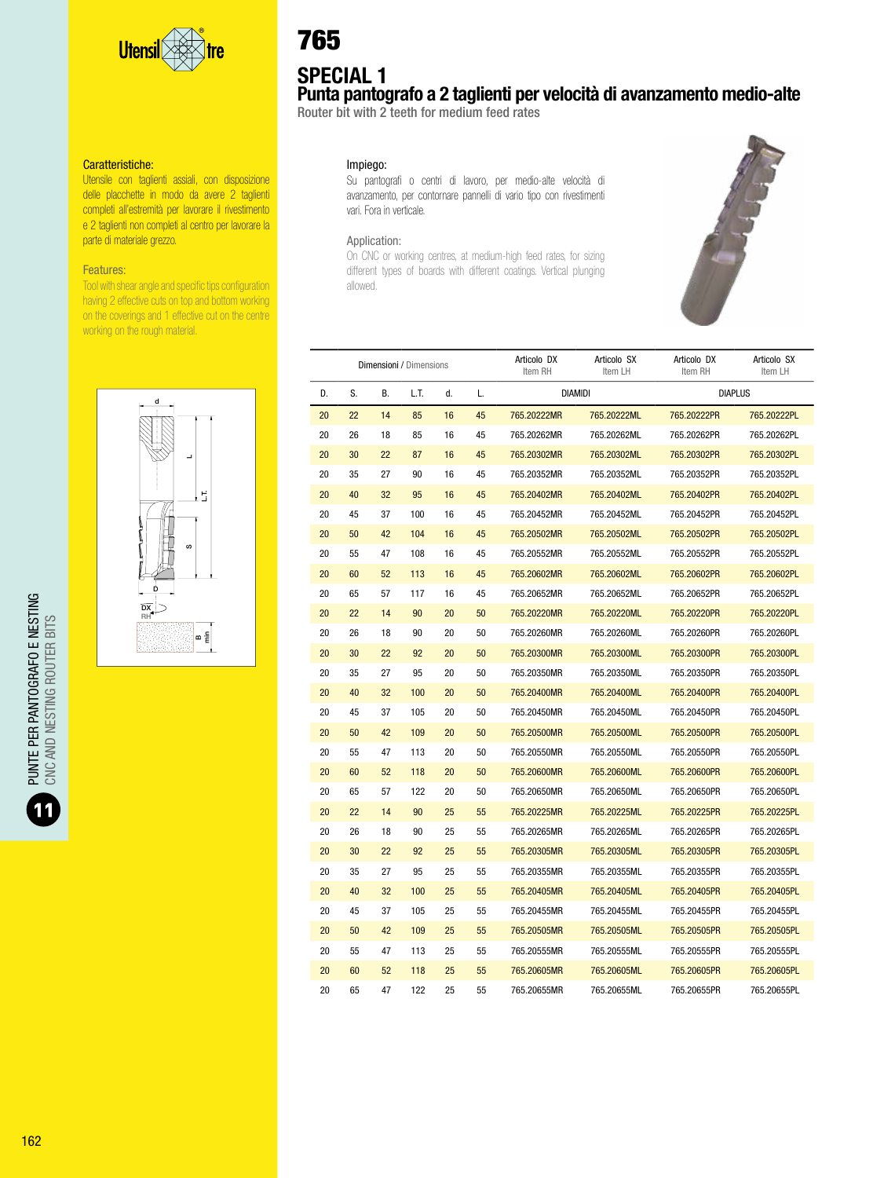

Utensile con taglienti assiali, con disposizione delle placchette in modo da avere 2 taglienti completi all'estremità per lavorare il rivestimento e 2 taglienti non completi al centro per lavorare la parte di materiale grezzo.

#### Features:

Tool with shear angle and specific tips configuration having 2 effective cuts on top and bottom working on the coverings and 1 effective cut on the centre working on the rough material.



# 765

# SPECIAL 1

Punta pantografo a 2 taglienti per velocità di avanzamento medio-alte

Router bit with 2 teeth for medium feed rates

#### Impiego:

Su pantografi o centri di lavoro, per medio-alte velocità di avanzamento, per contornare pannelli di vario tipo con rivestimenti vari. Fora in verticale.

#### Application:

On CNC or working centres, at medium-high feed rates, for sizing different types of boards with different coatings. Vertical plunging allowed.



|    |    |    | Dimensioni / Dimensions |    |    | Articolo DX<br>Item RH | Articolo SX<br>Item LH | Articolo DX<br>Item RH | Articolo SX<br>Item LH |
|----|----|----|-------------------------|----|----|------------------------|------------------------|------------------------|------------------------|
| D. | S. | В. | LT.                     | d. | L. |                        | <b>DIAMIDI</b>         | <b>DIAPLUS</b>         |                        |
| 20 | 22 | 14 | 85                      | 16 | 45 | 765.20222MR            | 765.20222ML            | 765.20222PR            | 765.20222PL            |
| 20 | 26 | 18 | 85                      | 16 | 45 | 765.20262MR            | 765.20262ML            | 765.20262PR            | 765.20262PL            |
| 20 | 30 | 22 | 87                      | 16 | 45 | 765.20302MR            | 765.20302ML            | 765.20302PR            | 765.20302PL            |
| 20 | 35 | 27 | 90                      | 16 | 45 | 765.20352MR            | 765.20352ML            | 765.20352PR            | 765.20352PL            |
| 20 | 40 | 32 | 95                      | 16 | 45 | 765.20402MR            | 765.20402ML            | 765.20402PR            | 765.20402PL            |
| 20 | 45 | 37 | 100                     | 16 | 45 | 765.20452MR            | 765.20452ML            | 765.20452PR            | 765.20452PL            |
| 20 | 50 | 42 | 104                     | 16 | 45 | 765.20502MR            | 765.20502ML            | 765.20502PR            | 765.20502PL            |
| 20 | 55 | 47 | 108                     | 16 | 45 | 765.20552MR            | 765.20552ML            | 765.20552PR            | 765.20552PL            |
| 20 | 60 | 52 | 113                     | 16 | 45 | 765.20602MR            | 765.20602ML            | 765.20602PR            | 765.20602PL            |
| 20 | 65 | 57 | 117                     | 16 | 45 | 765.20652MR            | 765.20652ML            | 765.20652PR            | 765.20652PL            |
| 20 | 22 | 14 | 90                      | 20 | 50 | 765.20220MR            | 765.20220ML            | 765.20220PR            | 765.20220PL            |
| 20 | 26 | 18 | 90                      | 20 | 50 | 765.20260MR            | 765.20260ML            | 765.20260PR            | 765.20260PL            |
| 20 | 30 | 22 | 92                      | 20 | 50 | 765.20300MR            | 765.20300ML            | 765.20300PR            | 765.20300PL            |
| 20 | 35 | 27 | 95                      | 20 | 50 | 765.20350MR            | 765.20350ML            | 765.20350PR            | 765.20350PL            |
| 20 | 40 | 32 | 100                     | 20 | 50 | 765.20400MR            | 765.20400ML            | 765.20400PR            | 765.20400PL            |
| 20 | 45 | 37 | 105                     | 20 | 50 | 765.20450MR            | 765.20450ML            | 765.20450PR            | 765.20450PL            |
| 20 | 50 | 42 | 109                     | 20 | 50 | 765.20500MR            | 765.20500ML            | 765.20500PR            | 765.20500PL            |
| 20 | 55 | 47 | 113                     | 20 | 50 | 765.20550MR            | 765.20550ML            | 765.20550PR            | 765.20550PL            |
| 20 | 60 | 52 | 118                     | 20 | 50 | 765.20600MR            | 765.20600ML            | 765.20600PR            | 765.20600PL            |
| 20 | 65 | 57 | 122                     | 20 | 50 | 765.20650MR            | 765.20650ML            | 765.20650PR            | 765.20650PL            |
| 20 | 22 | 14 | 90                      | 25 | 55 | 765.20225MR            | 765.20225ML            | 765.20225PR            | 765.20225PL            |
| 20 | 26 | 18 | 90                      | 25 | 55 | 765.20265MR            | 765.20265ML            | 765.20265PR            | 765.20265PL            |
| 20 | 30 | 22 | 92                      | 25 | 55 | 765.20305MR            | 765.20305ML            | 765.20305PR            | 765.20305PL            |
| 20 | 35 | 27 | 95                      | 25 | 55 | 765.20355MR            | 765.20355ML            | 765.20355PR            | 765.20355PL            |
| 20 | 40 | 32 | 100                     | 25 | 55 | 765.20405MR            | 765.20405ML            | 765.20405PR            | 765.20405PL            |
| 20 | 45 | 37 | 105                     | 25 | 55 | 765.20455MR            | 765.20455ML            | 765.20455PR            | 765.20455PL            |
| 20 | 50 | 42 | 109                     | 25 | 55 | 765.20505MR            | 765.20505ML            | 765.20505PR            | 765.20505PL            |
| 20 | 55 | 47 | 113                     | 25 | 55 | 765.20555MR            | 765.20555ML            | 765.20555PR            | 765.20555PL            |
| 20 | 60 | 52 | 118                     | 25 | 55 | 765.20605MR            | 765.20605ML            | 765.20605PR            | 765.20605PL            |
| 20 | 65 | 47 | 122                     | 25 | 55 | 765.20655MR            | 765.20655ML            | 765.20655PR            | 765.20655PL            |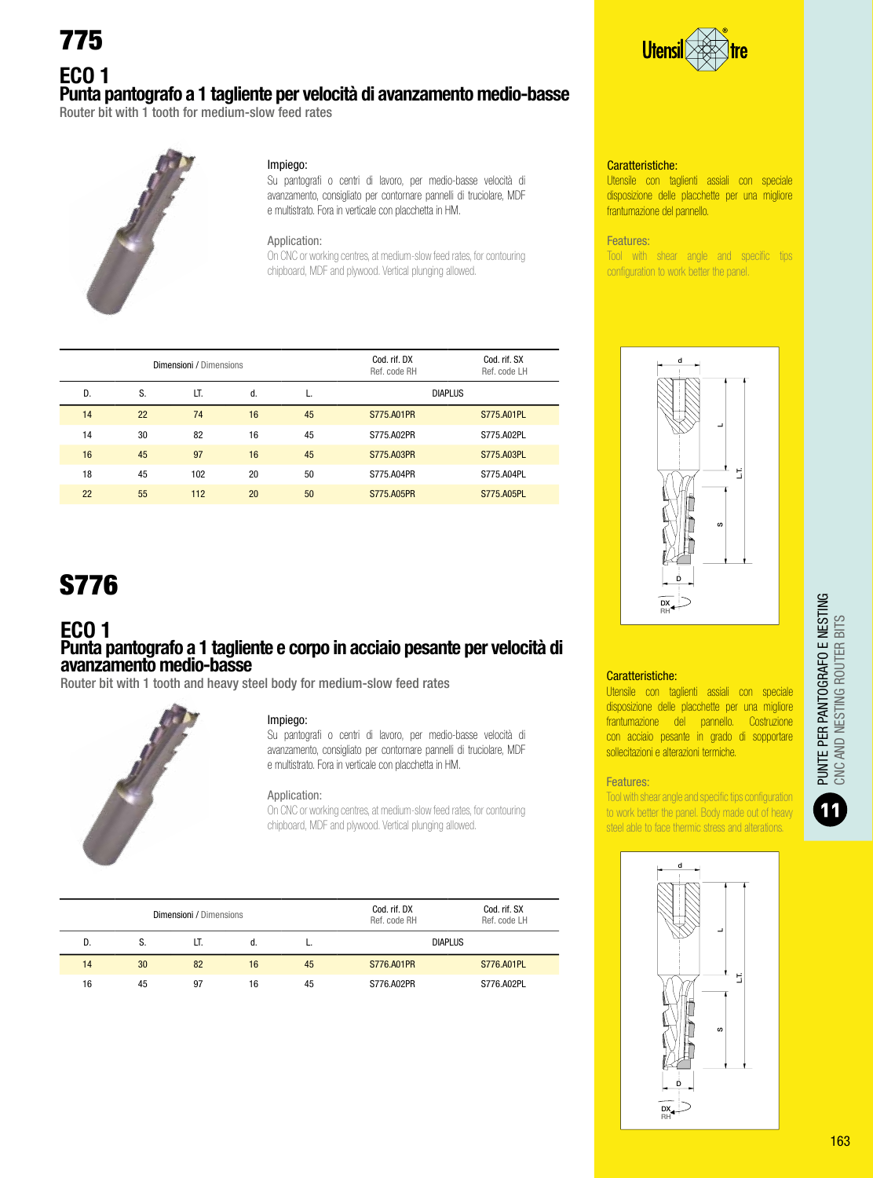775

# ECO 1 Punta pantografo a 1 tagliente per velocità di avanzamento medio-basse

Router bit with 1 tooth for medium-slow feed rates



#### Impiego:

Su pantografi o centri di lavoro, per medio-basse velocità di avanzamento, consigliato per contornare pannelli di truciolare, MDF e multistrato. Fora in verticale con placchetta in HM.

#### Application:

On CNC or working centres, at medium-slow feed rates, for contouring chipboard, MDF and plywood. Vertical plunging allowed.

|    |    | Dimensioni / Dimensions |    |    | Cod. rif. DX<br>Ref. code RH | Cod. rif. SX<br>Ref. code LH |
|----|----|-------------------------|----|----|------------------------------|------------------------------|
| D. | S. | LT.                     | d. | L. | <b>DIAPLUS</b>               |                              |
| 14 | 22 | 74                      | 16 | 45 | S775, A01PR                  | S775.A01PL                   |
| 14 | 30 | 82                      | 16 | 45 | S775.A02PR                   | S775.A02PL                   |
| 16 | 45 | 97                      | 16 | 45 | S775, A03PR                  | S775.A03PL                   |
| 18 | 45 | 102                     | 20 | 50 | S775.A04PR                   | S775.A04PL                   |
| 22 | 55 | 112                     | 20 | 50 | S775, A05PR                  | S775.A05PL                   |
|    |    |                         |    |    |                              |                              |

# S776

#### ECO 1 Punta pantografo a 1 tagliente e corpo in acciaio pesante per velocità di avanzamento medio-basse

Router bit with 1 tooth and heavy steel body for medium-slow feed rates



#### Impiego:

Su pantografi o centri di lavoro, per medio-basse velocità di avanzamento, consigliato per contornare pannelli di truciolare, MDF e multistrato. Fora in verticale con placchetta in HM.

#### Application:

On CNC or working centres, at medium-slow feed rates, for contouring chipboard, MDF and plywood. Vertical plunging allowed.

|    |    | <b>Dimensioni</b> / Dimensions |    |    | Cod. rif. DX<br>Ref. code RH | Cod. rif. SX<br>Ref. code LH |  |
|----|----|--------------------------------|----|----|------------------------------|------------------------------|--|
| D. |    | LT.                            |    |    | <b>DIAPLUS</b>               |                              |  |
| 14 | 30 | 82                             | 16 | 45 | S776, A01PR                  | S776, A01PL                  |  |
| 16 | 45 | 97                             | 16 | 45 | S776.A02PR                   | S776.A02PL                   |  |



#### Caratteristiche:

Utensile con taglienti assiali con speciale disposizione delle placchette per una migliore frantumazione del pannello.

#### Features:

Tool with shear angle and specific tips configuration to work better the panel.



#### Caratteristiche:

Utensile con taglienti assiali con speciale disposizione delle placchette per una migliore frantumazione del pannello. Costruzione con acciaio pesante in grado di sopportare sollecitazioni e alterazioni termiche.

#### Features:

Tool with shear angle and specific tips configuration to work better the panel. Body made out of heavy

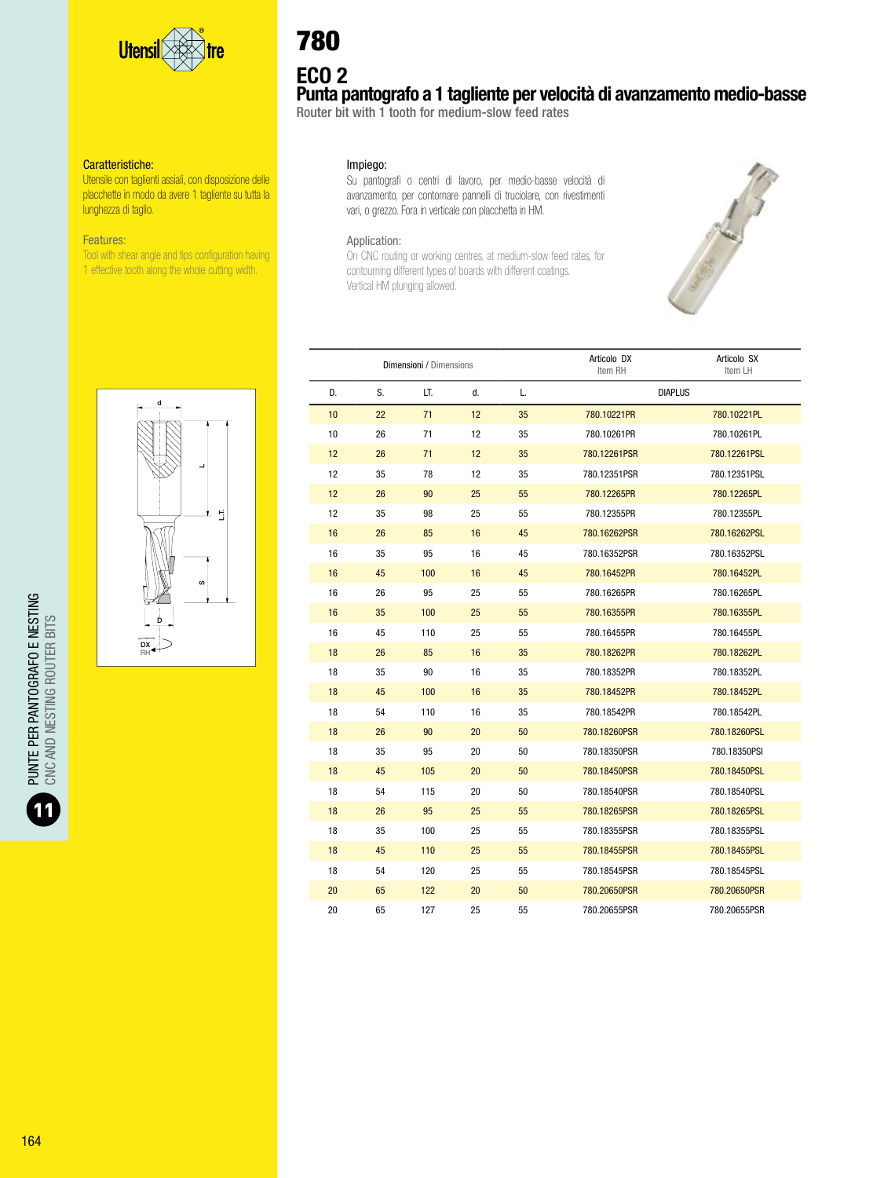

Utensile con taglienti assiali, con disposizione delle placchette in modo da avere 1 tagliente su tutta la lunghezza di taglio.

#### Features:

Tool with shear angle and tips configuration having 1 effective tooth along the whole cutting width.

# 780

ECO 2

### Punta pantografo a 1 tagliente per velocità di avanzamento medio-basse

Router bit with 1 tooth for medium-slow feed rates

#### Impiego:

Su pantografi o centri di lavoro, per medio-basse velocità di avanzamento, per contornare pannelli di truciolare, con rivestimenti vari, o grezzo. Fora in verticale con placchetta in HM.

#### Application:

On CNC routing or working centres, at medium-slow feed rates, for contourning different types of boards with different coatings. Vertical HM plunging allowed.





|    |    | Dimensioni / Dimensions |    |    | Articolo DX<br>Item RH | Articolo SX<br>Item LH |
|----|----|-------------------------|----|----|------------------------|------------------------|
| D. | S. | LT.                     | d. | L. | <b>DIAPLUS</b>         |                        |
| 10 | 22 | 71                      | 12 | 35 | 780.10221PR            | 780.10221PL            |
| 10 | 26 | 71                      | 12 | 35 | 780.10261PR            | 780.10261PL            |
| 12 | 26 | 71                      | 12 | 35 | 780.12261PSR           | 780.12261PSL           |
| 12 | 35 | 78                      | 12 | 35 | 780.12351PSR           | 780.12351PSL           |
| 12 | 26 | 90                      | 25 | 55 | 780.12265PR            | 780.12265PL            |
| 12 | 35 | 98                      | 25 | 55 | 780.12355PR            | 780.12355PL            |
| 16 | 26 | 85                      | 16 | 45 | 780.16262PSR           | 780.16262PSL           |
| 16 | 35 | 95                      | 16 | 45 | 780.16352PSR           | 780.16352PSL           |
| 16 | 45 | 100                     | 16 | 45 | 780.16452PR            | 780.16452PL            |
| 16 | 26 | 95                      | 25 | 55 | 780.16265PR            | 780.16265PL            |
| 16 | 35 | 100                     | 25 | 55 | 780.16355PR            | 780.16355PL            |
| 16 | 45 | 110                     | 25 | 55 | 780.16455PR            | 780.16455PL            |
| 18 | 26 | 85                      | 16 | 35 | 780.18262PR            | 780.18262PL            |
| 18 | 35 | 90                      | 16 | 35 | 780.18352PR            | 780.18352PL            |
| 18 | 45 | 100                     | 16 | 35 | 780.18452PR            | 780.18452PL            |
| 18 | 54 | 110                     | 16 | 35 | 780.18542PR            | 780.18542PL            |
| 18 | 26 | 90                      | 20 | 50 | 780.18260PSR           | 780.18260PSL           |
| 18 | 35 | 95                      | 20 | 50 | 780.18350PSR           | 780.18350PSI           |
| 18 | 45 | 105                     | 20 | 50 | 780.18450PSR           | 780.18450PSL           |
| 18 | 54 | 115                     | 20 | 50 | 780.18540PSR           | 780.18540PSL           |
| 18 | 26 | 95                      | 25 | 55 | 780.18265PSR           | 780.18265PSL           |
| 18 | 35 | 100                     | 25 | 55 | 780.18355PSR           | 780.18355PSL           |
| 18 | 45 | 110                     | 25 | 55 | 780.18455PSR           | 780.18455PSL           |
| 18 | 54 | 120                     | 25 | 55 | 780.18545PSR           | 780.18545PSL           |
| 20 | 65 | 122                     | 20 | 50 | 780.20650PSR           | 780.20650PSR           |
| 20 | 65 | 127                     | 25 | 55 | 780.20655PSR           | 780.20655PSR           |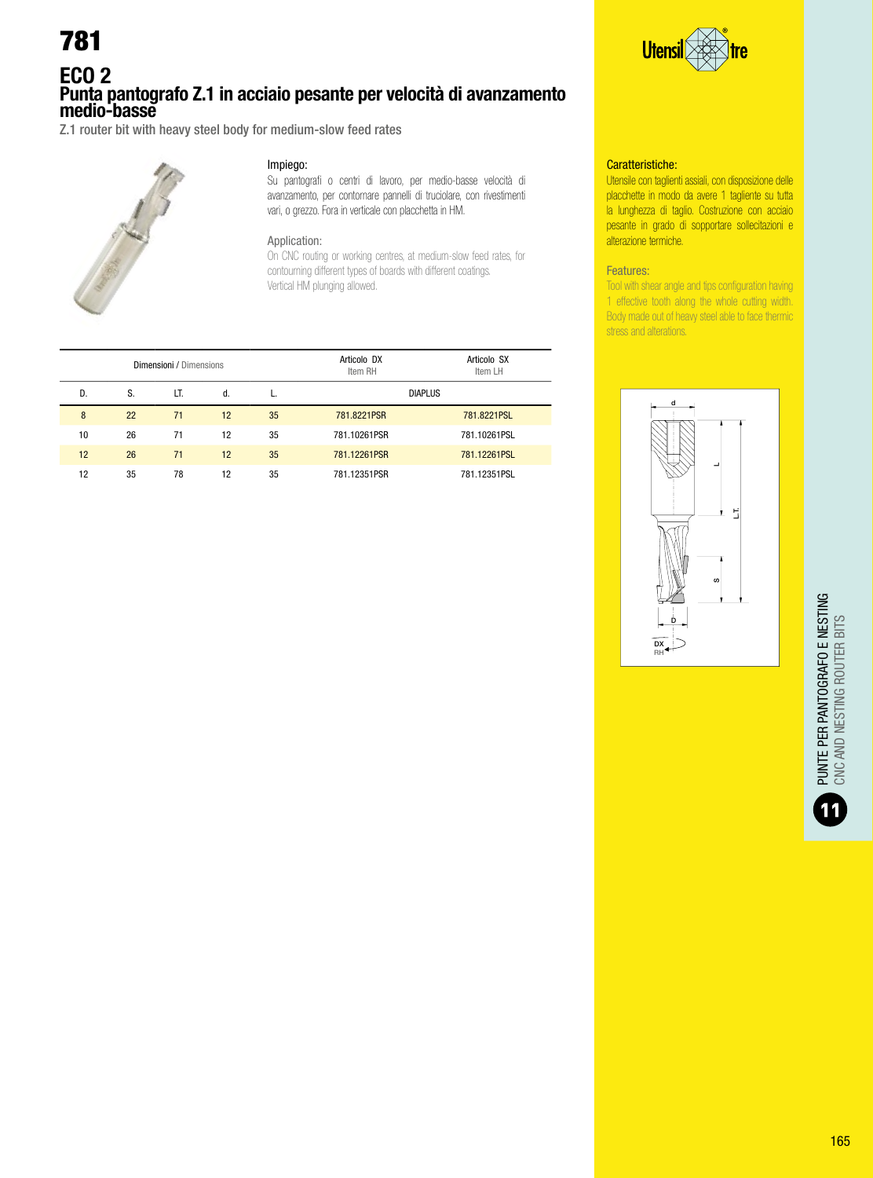### ECO 2 Punta pantografo Z.1 in acciaio pesante per velocità di avanzamento medio-basse

Z.1 router bit with heavy steel body for medium-slow feed rates



#### Impiego:

Su pantografi o centri di lavoro, per medio-basse velocità di avanzamento, per contornare pannelli di truciolare, con rivestimenti vari, o grezzo. Fora in verticale con placchetta in HM.

#### Application:

On CNC routing or working centres, at medium-slow feed rates, for contourning different types of boards with different coatings. Vertical HM plunging allowed.

|    |    | Dimensioni / Dimensions |    |    | Articolo DX<br>Item RH | Articolo SX<br>Item LH |
|----|----|-------------------------|----|----|------------------------|------------------------|
| D. | S. | LT.                     | d. |    | <b>DIAPLUS</b>         |                        |
| 8  | 22 | 71                      | 12 | 35 | 781.8221PSR            | 781.8221PSL            |
| 10 | 26 | 71                      | 12 | 35 | 781.10261PSR           | 781.10261PSL           |
| 12 | 26 | 71                      | 12 | 35 | 781.12261PSR           | 781.12261PSL           |
| 12 | 35 | 78                      | 12 | 35 | 781.12351PSR           | 781.12351PSL           |



#### Caratteristiche:

Utensile con taglienti assiali, con disposizione delle placchette in modo da avere 1 tagliente su tutta la lunghezza di taglio. Costruzione con acciaio pesante in grado di sopportare sollecitazioni e alterazione termiche.

#### Features:

Tool with shear angle and tips configuration having 1 effective tooth along the whole cutting width. Body made out of heavy steel able to face thermic stress and alterations.

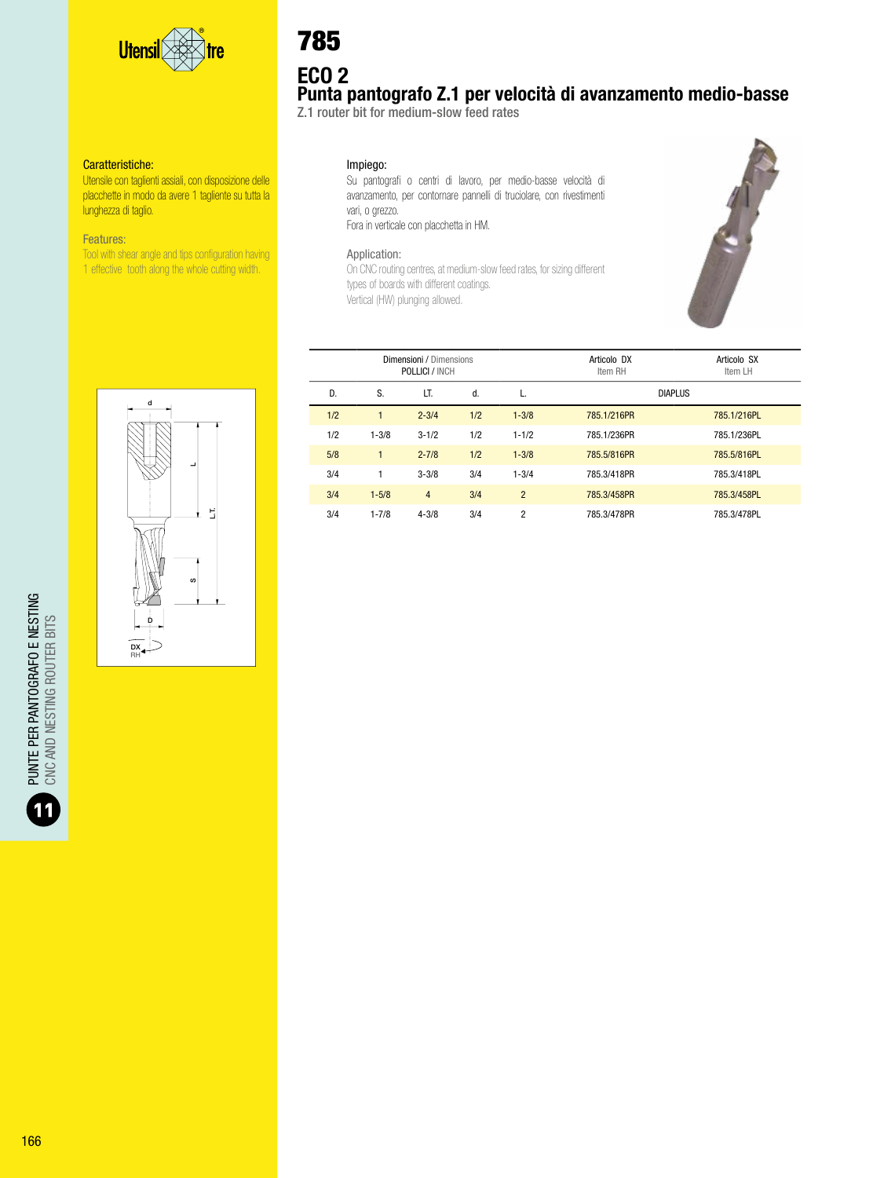

Utensile con taglienti assiali, con disposizione delle placchette in modo da avere 1 tagliente su tutta la lunghezza di taglio.

#### Features:

Tool with shear angle and tips configuration having 1 effective tooth along the whole cutting width.

# ECO 2 Punta pantografo Z.1 per velocità di avanzamento medio-basse 785

Z.1 router bit for medium-slow feed rates

#### Impiego:

Su pantografi o centri di lavoro, per medio-basse velocità di avanzamento, per contornare pannelli di truciolare, con rivestimenti vari, o grezzo. Fora in verticale con placchetta in HM.

#### Application:

On CNC routing centres, at medium-slow feed rates, for sizing different types of boards with different coatings. Vertical (HW) plunging allowed.



| Dimensioni / Dimensions<br>POLLICI / INCH |              |                |     |                | Articolo DX<br>Item RH | Articolo SX<br>Item LH |
|-------------------------------------------|--------------|----------------|-----|----------------|------------------------|------------------------|
| D.                                        | S.           | LT.            | d.  | L.             | <b>DIAPLUS</b>         |                        |
| 1/2                                       |              | $2 - 3/4$      | 1/2 | $1 - 3/8$      | 785.1/216PR            | 785.1/216PL            |
| 1/2                                       | $1 - 3/8$    | $3 - 1/2$      | 1/2 | $1 - 1/2$      | 785.1/236PR            | 785.1/236PL            |
| 5/8                                       | $\mathbf{1}$ | $2 - 7/8$      | 1/2 | $1 - 3/8$      | 785.5/816PR            | 785.5/816PL            |
| 3/4                                       |              | $3 - 3/8$      | 3/4 | $1 - 3/4$      | 785.3/418PR            | 785.3/418PL            |
| 3/4                                       | $1 - 5/8$    | $\overline{4}$ | 3/4 | $\overline{2}$ | 785.3/458PR            | 785.3/458PL            |
| 3/4                                       | $1 - 7/8$    | $4 - 3/8$      | 3/4 | $\overline{2}$ | 785.3/478PR            | 785.3/478PL            |



PUNTE PER PANTOGRAFO E NESTING<br>ONC AND NESTING ROUTER BITS PUNTE PER PANTOGRAFO E NESTING CNC AND NESTING ROUTER BITS T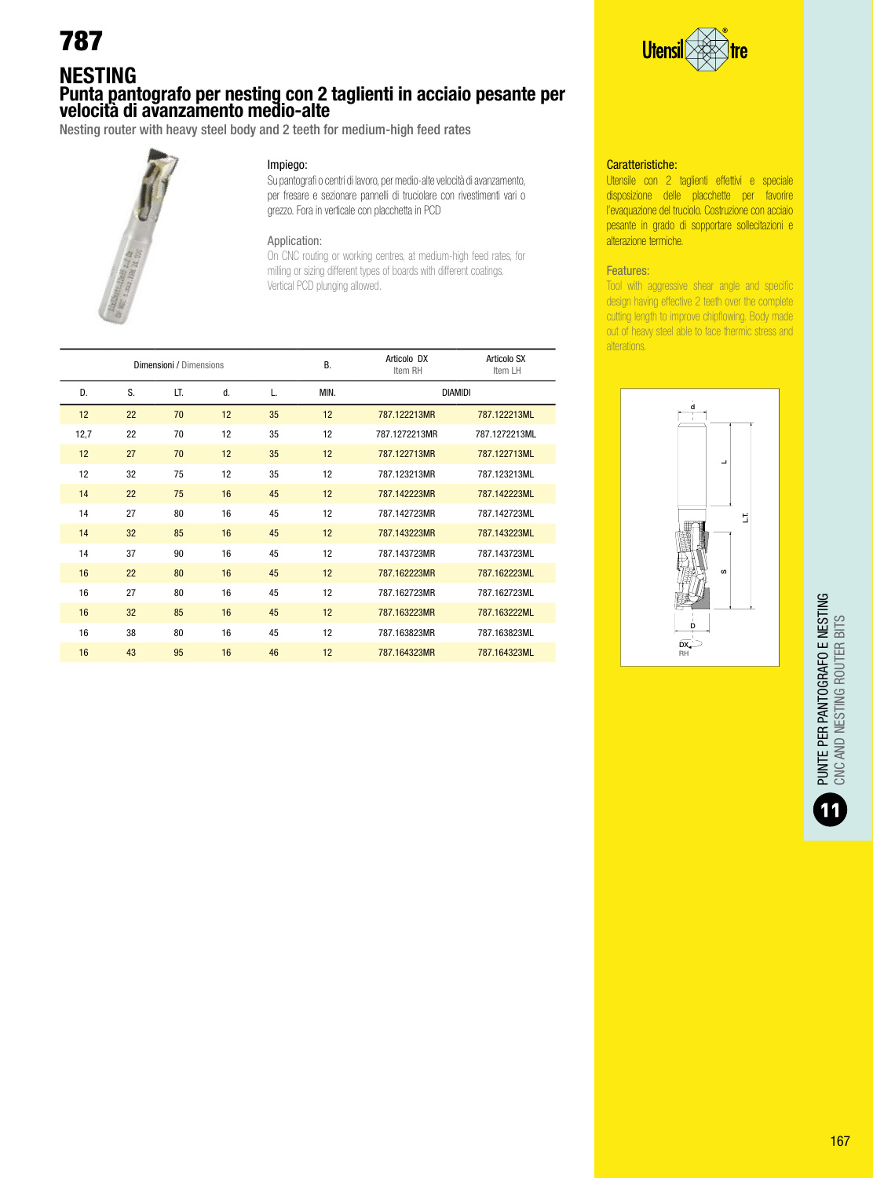### NESTING Punta pantografo per nesting con 2 taglienti in acciaio pesante per velocità di avanzamento medio-alte

Nesting router with heavy steel body and 2 teeth for medium-high feed rates



#### Impiego:

Su pantografi o centri di lavoro, per medio-alte velocità di avanzamento, per fresare e sezionare pannelli di truciolare con rivestimenti vari o grezzo. Fora in verticale con placchetta in PCD

#### Application:

On CNC routing or working centres, at medium-high feed rates, for milling or sizing different types of boards with different coatings. Vertical PCD plunging allowed.

| Dimensioni / Dimensions |    |     |    |    | <b>B.</b> | Articolo DX<br>Item RH | Articolo SX<br>Item LH |
|-------------------------|----|-----|----|----|-----------|------------------------|------------------------|
| D.                      | S. | LT. | d. | L. | MIN.      | <b>DIAMIDI</b>         |                        |
| 12                      | 22 | 70  | 12 | 35 | 12        | 787.122213MR           | 787.122213ML           |
| 12,7                    | 22 | 70  | 12 | 35 | 12        | 787.1272213MR          | 787.1272213ML          |
| 12                      | 27 | 70  | 12 | 35 | 12        | 787.122713MR           | 787.122713ML           |
| 12                      | 32 | 75  | 12 | 35 | 12        | 787.123213MR           | 787.123213ML           |
| 14                      | 22 | 75  | 16 | 45 | 12        | 787.142223MR           | 787.142223ML           |
| 14                      | 27 | 80  | 16 | 45 | 12        | 787.142723MR           | 787.142723ML           |
| 14                      | 32 | 85  | 16 | 45 | 12        | 787.143223MR           | 787.143223ML           |
| 14                      | 37 | 90  | 16 | 45 | 12        | 787.143723MR           | 787.143723ML           |
| 16                      | 22 | 80  | 16 | 45 | 12        | 787.162223MR           | 787.162223ML           |
| 16                      | 27 | 80  | 16 | 45 | 12        | 787.162723MR           | 787.162723ML           |
| 16                      | 32 | 85  | 16 | 45 | 12        | 787.163223MR           | 787.163222ML           |
| 16                      | 38 | 80  | 16 | 45 | 12        | 787.163823MR           | 787.163823ML           |
| 16                      | 43 | 95  | 16 | 46 | 12        | 787.164323MR           | 787.164323ML           |



#### Caratteristiche:

Utensile con 2 taglienti effettivi e speciale disposizione delle placchette per favorire l'evaquazione del truciolo. Costruzione con acciaio pesante in grado di sopportare sollecitazioni e alterazione termiche.

#### Features:

Tool with aggressive shear angle and specific design having effective 2 teeth over the complete cutting length to improve chipflowing. Body made out of heavy steel able to face thermic stress and alterations.